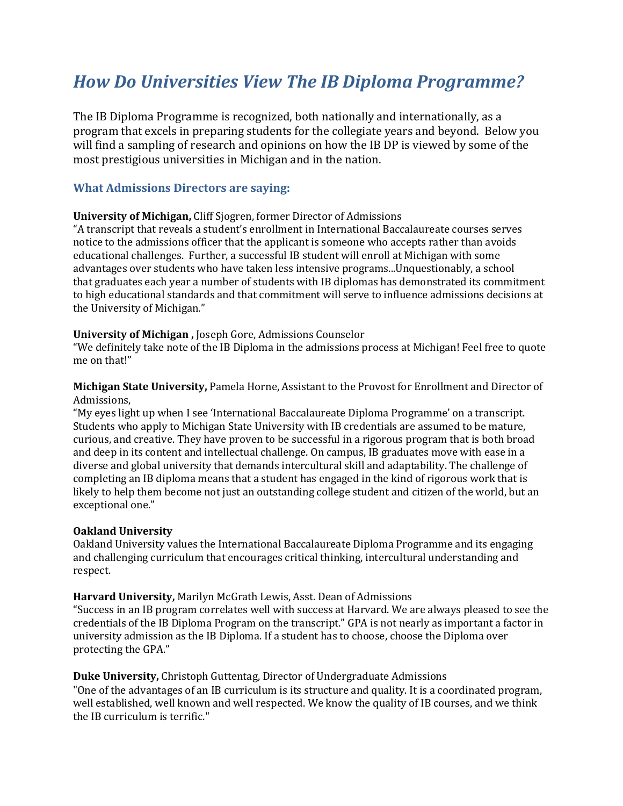# *How Do Universities View The IB Diploma Programme?*

The IB Diploma Programme is recognized, both nationally and internationally, as a program that excels in preparing students for the collegiate years and beyond. Below you will find a sampling of research and opinions on how the IB DP is viewed by some of the most prestigious universities in Michigan and in the nation.

#### **What Admissions Directors are saying:**

#### **University of Michigan,** Cliff Sjogren, former Director of Admissions

"A transcript that reveals a student's enrollment in International Baccalaureate courses serves notice to the admissions officer that the applicant is someone who accepts rather than avoids educational challenges. Further, a successful IB student will enroll at Michigan with some advantages over students who have taken less intensive programs...Unquestionably, a school that graduates each year a number of students with IB diplomas has demonstrated its commitment to high educational standards and that commitment will serve to influence admissions decisions at the University of Michigan."

#### **University of Michigan ,** Joseph Gore, Admissions Counselor

"We definitely take note of the IB Diploma in the admissions process at Michigan! Feel free to quote me on that!"

**Michigan State University,** Pamela Horne, Assistant to the Provost for Enrollment and Director of Admissions,

"My eyes light up when I see 'International Baccalaureate Diploma Programme' on a transcript. Students who apply to Michigan State University with IB credentials are assumed to be mature, curious, and creative. They have proven to be successful in a rigorous program that is both broad and deep in its content and intellectual challenge. On campus, IB graduates move with ease in a diverse and global university that demands intercultural skill and adaptability. The challenge of completing an IB diploma means that a student has engaged in the kind of rigorous work that is likely to help them become not just an outstanding college student and citizen of the world, but an exceptional one."

#### **Oakland University**

Oakland University values the International Baccalaureate Diploma Programme and its engaging and challenging curriculum that encourages critical thinking, intercultural understanding and respect.

#### **Harvard University,** Marilyn McGrath Lewis, Asst. Dean of Admissions

"Success in an IB program correlates well with success at Harvard. We are always pleased to see the credentials of the IB Diploma Program on the transcript." GPA is not nearly as important a factor in university admission as the IB Diploma. If a student has to choose, choose the Diploma over protecting the GPA."

#### **Duke University,** Christoph Guttentag, Director of Undergraduate Admissions

"One of the advantages of an IB curriculum is its structure and quality. It is a coordinated program, well established, well known and well respected. We know the quality of IB courses, and we think the IB curriculum is terrific."